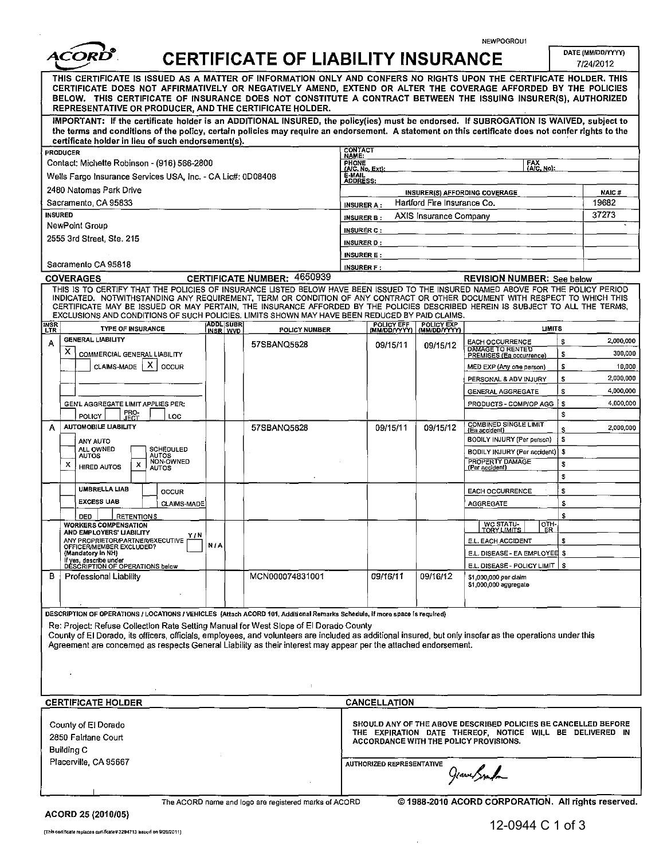NEWPOGROU1

| ACORD".                                                                                                                                                                                                                                                                                                                                                                                                                                                                                               |                                     | <b>CERTIFICATE OF LIABILITY INSURANCE</b>             |                                        |                                                    |                               |                                                                                                                                                                      |         | DATE (MM/DD/YYYY)<br>7/24/2012 |
|-------------------------------------------------------------------------------------------------------------------------------------------------------------------------------------------------------------------------------------------------------------------------------------------------------------------------------------------------------------------------------------------------------------------------------------------------------------------------------------------------------|-------------------------------------|-------------------------------------------------------|----------------------------------------|----------------------------------------------------|-------------------------------|----------------------------------------------------------------------------------------------------------------------------------------------------------------------|---------|--------------------------------|
| THIS CERTIFICATE IS ISSUED AS A MATTER OF INFORMATION ONLY AND CONFERS NO RIGHTS UPON THE CERTIFICATE HOLDER. THIS<br>CERTIFICATE DOES NOT AFFIRMATIVELY OR NEGATIVELY AMEND, EXTEND OR ALTER THE COVERAGE AFFORDED BY THE POLICIES<br>BELOW. THIS CERTIFICATE OF INSURANCE DOES NOT CONSTITUTE A CONTRACT BETWEEN THE ISSUING INSURER(S), AUTHORIZED<br>REPRESENTATIVE OR PRODUCER, AND THE CERTIFICATE HOLDER.                                                                                      |                                     |                                                       |                                        |                                                    |                               |                                                                                                                                                                      |         |                                |
| IMPORTANT: If the certificate holder is an ADDITIONAL INSURED, the policy(ies) must be endorsed. If SUBROGATION IS WAIVED, subject to<br>the terms and conditions of the policy, certain policies may require an endorsement. A statement on this certificate does not confer rights to the<br>certificate holder in lieu of such endorsement(s).                                                                                                                                                     |                                     |                                                       |                                        |                                                    |                               |                                                                                                                                                                      |         |                                |
| <b>PRODUCER</b>                                                                                                                                                                                                                                                                                                                                                                                                                                                                                       |                                     |                                                       | <b>CONTACT</b><br>NAME:                |                                                    |                               |                                                                                                                                                                      |         |                                |
| Contact: Michette Robinson - (916) 566-2800                                                                                                                                                                                                                                                                                                                                                                                                                                                           |                                     |                                                       | PHONE<br>(A/C, No, Ext):               |                                                    |                               | FAX<br>(A/C, No):                                                                                                                                                    |         |                                |
| Wells Fargo Insurance Services USA, Inc. - CA Lic#: 0D08408                                                                                                                                                                                                                                                                                                                                                                                                                                           |                                     |                                                       |                                        | E-MAIL<br>ADDRESS:                                 |                               |                                                                                                                                                                      |         |                                |
| 2480 Natomas Park Drive                                                                                                                                                                                                                                                                                                                                                                                                                                                                               |                                     |                                                       |                                        | <b>INSURER(S) AFFORDING COVERAGE</b>               |                               |                                                                                                                                                                      |         | <b>NAIC#</b>                   |
| Sacramento, CA 95833                                                                                                                                                                                                                                                                                                                                                                                                                                                                                  |                                     |                                                       | <b>INSURER A:</b>                      |                                                    | Hartford Fire Insurance Co.   |                                                                                                                                                                      |         | 19682                          |
| <b>INSURED</b><br>NewPoint Group                                                                                                                                                                                                                                                                                                                                                                                                                                                                      |                                     |                                                       | <b>INSURER B:</b>                      |                                                    | <b>AXIS Insurance Company</b> |                                                                                                                                                                      |         | 37273                          |
| 2555 3rd Street, Ste. 215                                                                                                                                                                                                                                                                                                                                                                                                                                                                             |                                     |                                                       | <b>INSURER C:</b><br><b>INSURER D:</b> |                                                    |                               |                                                                                                                                                                      |         |                                |
|                                                                                                                                                                                                                                                                                                                                                                                                                                                                                                       |                                     |                                                       |                                        | <b>INSURER E:</b>                                  |                               |                                                                                                                                                                      |         |                                |
| Sacramento CA 95818                                                                                                                                                                                                                                                                                                                                                                                                                                                                                   |                                     |                                                       |                                        | <b>INSURER F:</b>                                  |                               |                                                                                                                                                                      |         |                                |
| <b>COVERAGES</b>                                                                                                                                                                                                                                                                                                                                                                                                                                                                                      |                                     | <b>CERTIFICATE NUMBER: 4650939</b>                    |                                        |                                                    |                               | <b>REVISION NUMBER: See below</b>                                                                                                                                    |         |                                |
| THIS IS TO CERTIFY THAT THE POLICIES OF INSURANCE LISTED BELOW HAVE BEEN ISSUED TO THE INSURED NAMED ABOVE FOR THE POLICY PERIOD<br>INDICATED. NOTWITHSTANDING ANY REQUIREMENT, TERM OR CONDITION OF ANY CONTRACT OR OTHER DOCUMENT WITH RESPECT TO WHICH THIS<br>CERTIFICATE MAY BE ISSUED OR MAY PERTAIN, THE INSURANCE AFFORDED BY THE POLICIES DESCRIBED HEREIN IS SUBJECT TO ALL THE TERMS,<br>EXCLUSIONS AND CONDITIONS OF SUCH POLICIES, LIMITS SHOWN MAY HAVE BEEN REDUCED BY PAID CLAIMS.    |                                     |                                                       |                                        |                                                    |                               |                                                                                                                                                                      |         |                                |
| <b>INSR</b><br><b>TYPE OF INSURANCE</b><br><b>LTR</b>                                                                                                                                                                                                                                                                                                                                                                                                                                                 | <b>ADDL SUBR</b><br><b>INSR WVD</b> | <b>POLICY NUMBER</b>                                  |                                        | POLICY EFF POLICY EXP<br>(MM/DD/YYYY) (MM/DD/YYYY) |                               | <b>LIMITS</b>                                                                                                                                                        |         |                                |
| <b>GENERAL LIABILITY</b><br>А                                                                                                                                                                                                                                                                                                                                                                                                                                                                         |                                     | 57SBANQ5628                                           |                                        | 09/15/11                                           | 09/15/12                      | <b>EACH OCCURRENCE</b><br>DAMAGE TO RENTED                                                                                                                           | s       | 2,000,000                      |
| x<br>COMMERCIAL GENERAL LIABILITY                                                                                                                                                                                                                                                                                                                                                                                                                                                                     |                                     |                                                       |                                        |                                                    |                               | PREMISES (Ea occurrence)                                                                                                                                             | \$      | 300,000                        |
| х<br>CLAIMS-MADE<br>OCCUR                                                                                                                                                                                                                                                                                                                                                                                                                                                                             |                                     |                                                       |                                        |                                                    |                               | MED EXP (Any one person)                                                                                                                                             | \$      | 10,000                         |
|                                                                                                                                                                                                                                                                                                                                                                                                                                                                                                       |                                     |                                                       |                                        |                                                    |                               | PERSONAL & ADV INJURY<br><b>GENERAL AGGREGATE</b>                                                                                                                    | s<br>s  | 2,000,000<br>4,000,000         |
| GENL AGGREGATE LIMIT APPLIES PER:                                                                                                                                                                                                                                                                                                                                                                                                                                                                     |                                     |                                                       |                                        |                                                    |                               | PRODUCTS - COMP/OP AGG                                                                                                                                               | s       | 4,000,000                      |
| FRO-<br>JECT<br>POLICY<br>LOC                                                                                                                                                                                                                                                                                                                                                                                                                                                                         |                                     |                                                       |                                        |                                                    |                               |                                                                                                                                                                      | s       |                                |
| <b>AUTOMOBILE LIABILITY</b><br>А                                                                                                                                                                                                                                                                                                                                                                                                                                                                      |                                     | 57SBANQ5628                                           |                                        | 09/15/11                                           | 09/15/12                      | COMBINED SINGLE LIMIT<br>{Ea accident}                                                                                                                               | Ś       | 2,000,000                      |
| ANY AUTO                                                                                                                                                                                                                                                                                                                                                                                                                                                                                              |                                     |                                                       |                                        |                                                    |                               | BODILY INJURY (Per person)                                                                                                                                           | s       |                                |
| ALL OWNED<br>SCHEDULED<br><b>AUTOS</b><br>AUTOS<br>NON-OWNED                                                                                                                                                                                                                                                                                                                                                                                                                                          |                                     |                                                       |                                        |                                                    |                               | BODILY INJURY (Par accident)<br>PROPERTY DAMAGE                                                                                                                      | s       |                                |
| x<br>x<br><b>HIRED AUTOS</b><br><b>AUTOS</b>                                                                                                                                                                                                                                                                                                                                                                                                                                                          |                                     |                                                       |                                        |                                                    |                               | (Per accident)                                                                                                                                                       | S       |                                |
| <b>UMBRELLA LIAB</b>                                                                                                                                                                                                                                                                                                                                                                                                                                                                                  |                                     |                                                       |                                        |                                                    |                               |                                                                                                                                                                      | \$      |                                |
| OCCUR<br><b>EXCESS LIAB</b><br>CLAIMS-MADE                                                                                                                                                                                                                                                                                                                                                                                                                                                            |                                     |                                                       |                                        |                                                    |                               | <b>EACH OCCURRENCE</b><br>AGGREGATE                                                                                                                                  | s<br>\$ |                                |
| <b>RETENTIONS</b><br><b>DED</b>                                                                                                                                                                                                                                                                                                                                                                                                                                                                       |                                     |                                                       |                                        |                                                    |                               |                                                                                                                                                                      | s       |                                |
| <b>WORKERS COMPENSATION</b><br>AND EMPLOYERS' LIABILITY                                                                                                                                                                                                                                                                                                                                                                                                                                               |                                     |                                                       |                                        |                                                    |                               | OTH-<br>WC STATU-<br><u> покудилиз г</u><br>LER                                                                                                                      |         |                                |
| Y/N<br>ANY PROPRIETOR/PARTNER/EXECUTIVE                                                                                                                                                                                                                                                                                                                                                                                                                                                               | <b>N/A</b>                          |                                                       |                                        |                                                    |                               | E.L. EACH ACCIDENT                                                                                                                                                   | s       |                                |
| OFFICER/MEMBER EXCLUDED?<br>(Mandatory in NH)                                                                                                                                                                                                                                                                                                                                                                                                                                                         |                                     |                                                       |                                        |                                                    |                               | E.L. DISEASE - EA EMPLOYEE \$                                                                                                                                        |         |                                |
| If yes, describe under<br>DESCRIPTION OF OPERATIONS below                                                                                                                                                                                                                                                                                                                                                                                                                                             |                                     |                                                       |                                        |                                                    |                               | E.L. DISEASE - POLICY LIMIT   \$                                                                                                                                     |         |                                |
| <b>Professional Liability</b><br>в                                                                                                                                                                                                                                                                                                                                                                                                                                                                    |                                     | MCN000074831001                                       |                                        | 09/16/11                                           | 09/16/12                      | \$1,000,000 per claim<br>\$1,000,000 aggregate                                                                                                                       |         |                                |
| DESCRIPTION OF OPERATIONS / LOCATIONS / VEHICLES (Attach ACORD 101, Additional Remarks Schedule, if more space is required)<br>Re: Project: Refuse Collection Rate Setting Manual for West Slope of El Dorado County<br>County of El Dorado, its officers, officials, employees, and volunteers are included as additional insured, but only insofar as the operations under this<br>Agreement are concerned as respects General Liability as their interest may appear per the attached endorsement. |                                     |                                                       |                                        |                                                    |                               |                                                                                                                                                                      |         |                                |
| <b>CERTIFICATE HOLDER</b>                                                                                                                                                                                                                                                                                                                                                                                                                                                                             |                                     |                                                       |                                        | CANCELLATION                                       |                               |                                                                                                                                                                      |         |                                |
| County of El Dorado<br>2850 Fairlane Court<br>Building C                                                                                                                                                                                                                                                                                                                                                                                                                                              |                                     |                                                       |                                        |                                                    |                               | SHOULD ANY OF THE ABOVE DESCRIBED POLICIES BE CANCELLED BEFORE<br>THE EXPIRATION DATE THEREOF, NOTICE WILL BE DELIVERED IN<br>ACCORDANCE WITH THE POLICY PROVISIONS. |         |                                |
| Placerville, CA 95667                                                                                                                                                                                                                                                                                                                                                                                                                                                                                 |                                     |                                                       |                                        | AUTHORIZED REPRESENTATIVE                          |                               | Grant Spark                                                                                                                                                          |         |                                |
| ACORD 25 (2010/05)                                                                                                                                                                                                                                                                                                                                                                                                                                                                                    |                                     | The ACORD name and logo are registered marks of ACORD |                                        |                                                    |                               | @1988-2010 ACORD CORPORATION. All rights reserved.                                                                                                                   |         |                                |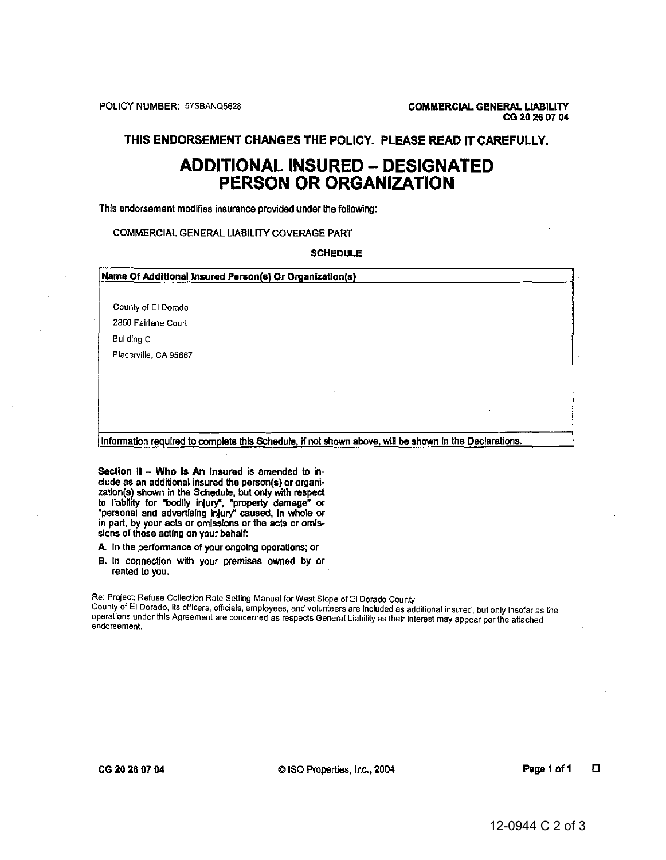## THIS ENDORSEMENT CHANGES THE POLICY. PLEASE READ IT CAREFULLY.

## **ADDITIONAL INSURED - DESIGNATED PERSON OR ORGANIZATION**

This endorsement modifies insurance provided under the following:

## COMMERCIAL GENERAL LIABILITY COVERAGE PART

**SCHEDULE** 

| Name Of Additional Insured Person(s) Or Organization(s) |  |  |  |  |  |
|---------------------------------------------------------|--|--|--|--|--|
| County of El Dorado                                     |  |  |  |  |  |
| 2850 Fairlane Court                                     |  |  |  |  |  |
| Building C                                              |  |  |  |  |  |
| Placerville, CA 95667                                   |  |  |  |  |  |
|                                                         |  |  |  |  |  |
|                                                         |  |  |  |  |  |
|                                                         |  |  |  |  |  |
|                                                         |  |  |  |  |  |
|                                                         |  |  |  |  |  |

Information required to complete this Schedule, if not shown above, will be shown in the Declarations.

Section II - Who Is An Insured is amended to include as an additional insured the person(s) or organization(s) shown in the Schedule, but only with respect to liability for "bodily injury", "property damage" or<br>"personal and advertising injury" caused, in whole or<br>in part, by your acts or omissions or the acts or omissions of those acting on your behalf:

A. In the performance of your ongoing operations; or

B. In connection with your premises owned by or rented to you.

Re: Project: Refuse Collection Rate Setting Manual for West Slope of El Dorado County County of El Dorado, its officers, officials, employees, and volunteers are included as additional insured, but only insofar as the operations under this Agreement are concerned as respects General Liability as their interest may appear per the attached endorsement.

© ISO Properties, Inc., 2004